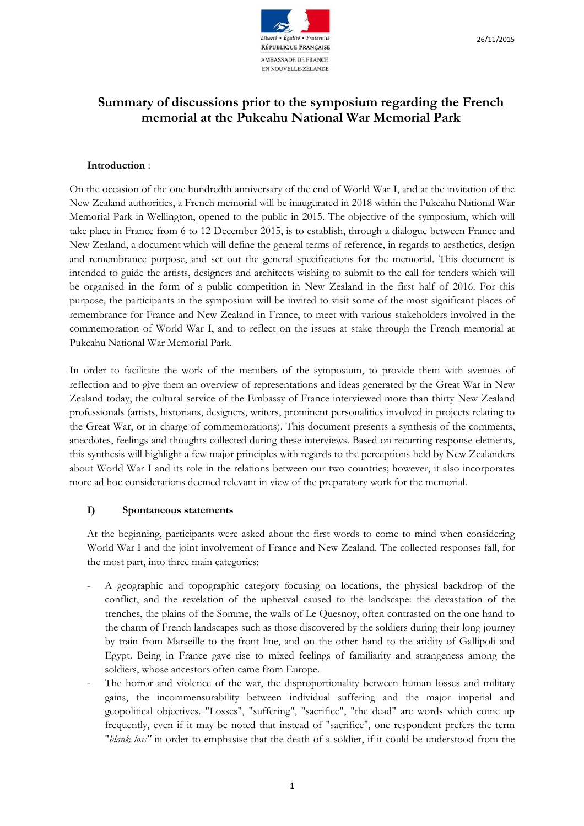

# **Summary of discussions prior to the symposium regarding the French memorial at the Pukeahu National War Memorial Park**

# **Introduction** :

On the occasion of the one hundredth anniversary of the end of World War I, and at the invitation of the New Zealand authorities, a French memorial will be inaugurated in 2018 within the Pukeahu National War Memorial Park in Wellington, opened to the public in 2015. The objective of the symposium, which will take place in France from 6 to 12 December 2015, is to establish, through a dialogue between France and New Zealand, a document which will define the general terms of reference, in regards to aesthetics, design and remembrance purpose, and set out the general specifications for the memorial. This document is intended to guide the artists, designers and architects wishing to submit to the call for tenders which will be organised in the form of a public competition in New Zealand in the first half of 2016. For this purpose, the participants in the symposium will be invited to visit some of the most significant places of remembrance for France and New Zealand in France, to meet with various stakeholders involved in the commemoration of World War I, and to reflect on the issues at stake through the French memorial at Pukeahu National War Memorial Park.

In order to facilitate the work of the members of the symposium, to provide them with avenues of reflection and to give them an overview of representations and ideas generated by the Great War in New Zealand today, the cultural service of the Embassy of France interviewed more than thirty New Zealand professionals (artists, historians, designers, writers, prominent personalities involved in projects relating to the Great War, or in charge of commemorations). This document presents a synthesis of the comments, anecdotes, feelings and thoughts collected during these interviews. Based on recurring response elements, this synthesis will highlight a few major principles with regards to the perceptions held by New Zealanders about World War I and its role in the relations between our two countries; however, it also incorporates more ad hoc considerations deemed relevant in view of the preparatory work for the memorial.

# **I) Spontaneous statements**

At the beginning, participants were asked about the first words to come to mind when considering World War I and the joint involvement of France and New Zealand. The collected responses fall, for the most part, into three main categories:

- A geographic and topographic category focusing on locations, the physical backdrop of the conflict, and the revelation of the upheaval caused to the landscape: the devastation of the trenches, the plains of the Somme, the walls of Le Quesnoy, often contrasted on the one hand to the charm of French landscapes such as those discovered by the soldiers during their long journey by train from Marseille to the front line, and on the other hand to the aridity of Gallipoli and Egypt. Being in France gave rise to mixed feelings of familiarity and strangeness among the soldiers, whose ancestors often came from Europe.
- The horror and violence of the war, the disproportionality between human losses and military gains, the incommensurability between individual suffering and the major imperial and geopolitical objectives. "Losses", "suffering", "sacrifice", "the dead" are words which come up frequently, even if it may be noted that instead of "sacrifice", one respondent prefers the term "*blank loss"* in order to emphasise that the death of a soldier, if it could be understood from the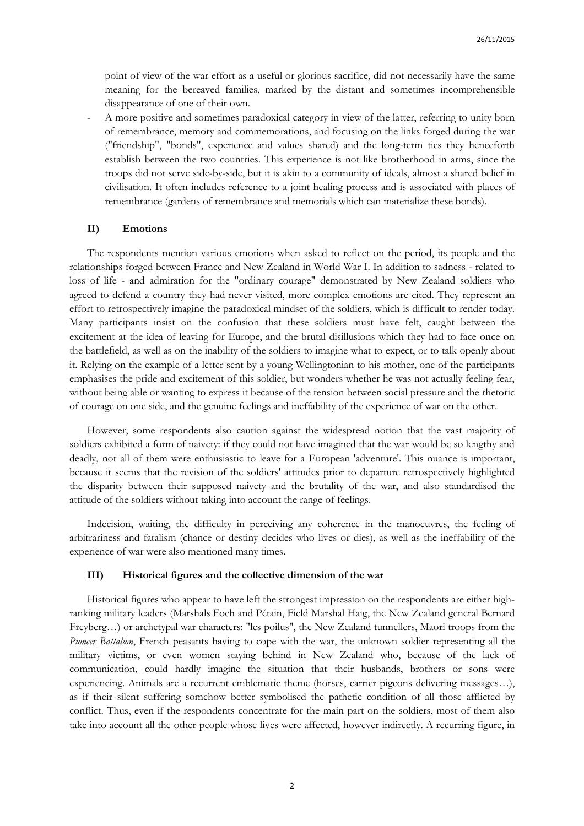point of view of the war effort as a useful or glorious sacrifice, did not necessarily have the same meaning for the bereaved families, marked by the distant and sometimes incomprehensible disappearance of one of their own.

- A more positive and sometimes paradoxical category in view of the latter, referring to unity born of remembrance, memory and commemorations, and focusing on the links forged during the war ("friendship", "bonds", experience and values shared) and the long-term ties they henceforth establish between the two countries. This experience is not like brotherhood in arms, since the troops did not serve side-by-side, but it is akin to a community of ideals, almost a shared belief in civilisation. It often includes reference to a joint healing process and is associated with places of remembrance (gardens of remembrance and memorials which can materialize these bonds).

### **II) Emotions**

The respondents mention various emotions when asked to reflect on the period, its people and the relationships forged between France and New Zealand in World War I. In addition to sadness - related to loss of life - and admiration for the "ordinary courage" demonstrated by New Zealand soldiers who agreed to defend a country they had never visited, more complex emotions are cited. They represent an effort to retrospectively imagine the paradoxical mindset of the soldiers, which is difficult to render today. Many participants insist on the confusion that these soldiers must have felt, caught between the excitement at the idea of leaving for Europe, and the brutal disillusions which they had to face once on the battlefield, as well as on the inability of the soldiers to imagine what to expect, or to talk openly about it. Relying on the example of a letter sent by a young Wellingtonian to his mother, one of the participants emphasises the pride and excitement of this soldier, but wonders whether he was not actually feeling fear, without being able or wanting to express it because of the tension between social pressure and the rhetoric of courage on one side, and the genuine feelings and ineffability of the experience of war on the other.

However, some respondents also caution against the widespread notion that the vast majority of soldiers exhibited a form of naivety: if they could not have imagined that the war would be so lengthy and deadly, not all of them were enthusiastic to leave for a European 'adventure'. This nuance is important, because it seems that the revision of the soldiers' attitudes prior to departure retrospectively highlighted the disparity between their supposed naivety and the brutality of the war, and also standardised the attitude of the soldiers without taking into account the range of feelings.

Indecision, waiting, the difficulty in perceiving any coherence in the manoeuvres, the feeling of arbitrariness and fatalism (chance or destiny decides who lives or dies), as well as the ineffability of the experience of war were also mentioned many times.

#### **III) Historical figures and the collective dimension of the war**

Historical figures who appear to have left the strongest impression on the respondents are either highranking military leaders (Marshals Foch and Pétain, Field Marshal Haig, the New Zealand general Bernard Freyberg…) or archetypal war characters: "les poilus", the New Zealand tunnellers, Maori troops from the *Pioneer Battalion*, French peasants having to cope with the war, the unknown soldier representing all the military victims, or even women staying behind in New Zealand who, because of the lack of communication, could hardly imagine the situation that their husbands, brothers or sons were experiencing. Animals are a recurrent emblematic theme (horses, carrier pigeons delivering messages…), as if their silent suffering somehow better symbolised the pathetic condition of all those afflicted by conflict. Thus, even if the respondents concentrate for the main part on the soldiers, most of them also take into account all the other people whose lives were affected, however indirectly. A recurring figure, in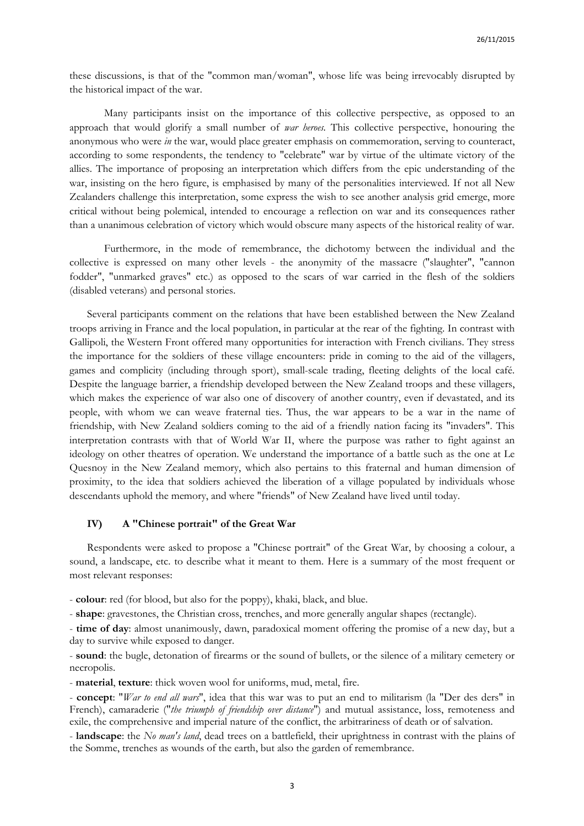these discussions, is that of the "common man/woman", whose life was being irrevocably disrupted by the historical impact of the war.

Many participants insist on the importance of this collective perspective, as opposed to an approach that would glorify a small number of *war heroes.* This collective perspective, honouring the anonymous who were *in* the war, would place greater emphasis on commemoration, serving to counteract, according to some respondents, the tendency to "celebrate" war by virtue of the ultimate victory of the allies. The importance of proposing an interpretation which differs from the epic understanding of the war, insisting on the hero figure, is emphasised by many of the personalities interviewed. If not all New Zealanders challenge this interpretation, some express the wish to see another analysis grid emerge, more critical without being polemical, intended to encourage a reflection on war and its consequences rather than a unanimous celebration of victory which would obscure many aspects of the historical reality of war.

Furthermore, in the mode of remembrance, the dichotomy between the individual and the collective is expressed on many other levels - the anonymity of the massacre ("slaughter", "cannon fodder", "unmarked graves" etc.) as opposed to the scars of war carried in the flesh of the soldiers (disabled veterans) and personal stories.

Several participants comment on the relations that have been established between the New Zealand troops arriving in France and the local population, in particular at the rear of the fighting. In contrast with Gallipoli, the Western Front offered many opportunities for interaction with French civilians. They stress the importance for the soldiers of these village encounters: pride in coming to the aid of the villagers, games and complicity (including through sport), small-scale trading, fleeting delights of the local café. Despite the language barrier, a friendship developed between the New Zealand troops and these villagers, which makes the experience of war also one of discovery of another country, even if devastated, and its people, with whom we can weave fraternal ties. Thus, the war appears to be a war in the name of friendship, with New Zealand soldiers coming to the aid of a friendly nation facing its "invaders". This interpretation contrasts with that of World War II, where the purpose was rather to fight against an ideology on other theatres of operation. We understand the importance of a battle such as the one at Le Quesnoy in the New Zealand memory, which also pertains to this fraternal and human dimension of proximity, to the idea that soldiers achieved the liberation of a village populated by individuals whose descendants uphold the memory, and where "friends" of New Zealand have lived until today.

## **IV) A "Chinese portrait" of the Great War**

Respondents were asked to propose a "Chinese portrait" of the Great War, by choosing a colour, a sound, a landscape, etc. to describe what it meant to them. Here is a summary of the most frequent or most relevant responses:

- **colour**: red (for blood, but also for the poppy), khaki, black, and blue.

- **shape**: gravestones, the Christian cross, trenches, and more generally angular shapes (rectangle).

- **time of day**: almost unanimously, dawn, paradoxical moment offering the promise of a new day, but a day to survive while exposed to danger.

- **sound**: the bugle, detonation of firearms or the sound of bullets, or the silence of a military cemetery or necropolis.

- **material**, **texture**: thick woven wool for uniforms, mud, metal, fire.

- **concept**: "*War to end all wars*", idea that this war was to put an end to militarism (la "Der des ders" in French), camaraderie ("*the triumph of friendship over distance*") and mutual assistance, loss, remoteness and exile, the comprehensive and imperial nature of the conflict, the arbitrariness of death or of salvation.

- **landscape**: the *No man's land*, dead trees on a battlefield, their uprightness in contrast with the plains of the Somme, trenches as wounds of the earth, but also the garden of remembrance.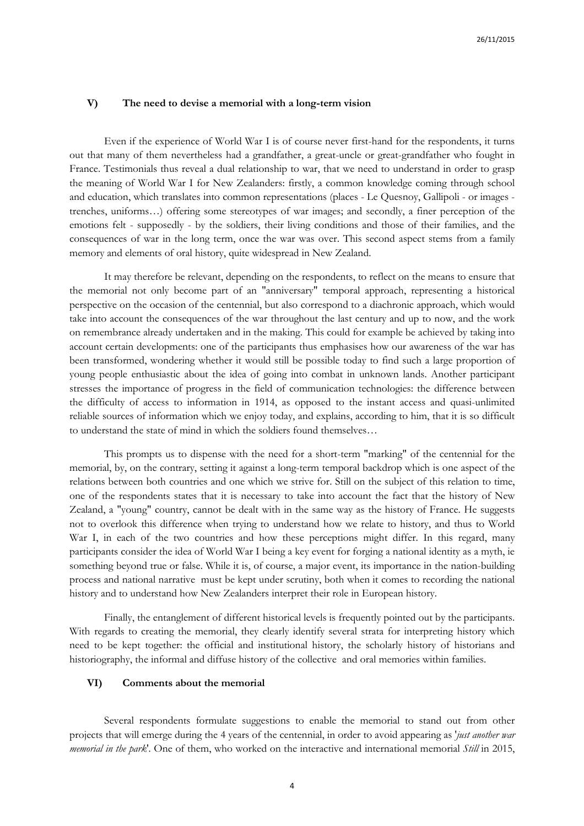## **V) The need to devise a memorial with a long-term vision**

Even if the experience of World War I is of course never first-hand for the respondents, it turns out that many of them nevertheless had a grandfather, a great-uncle or great-grandfather who fought in France. Testimonials thus reveal a dual relationship to war, that we need to understand in order to grasp the meaning of World War I for New Zealanders: firstly, a common knowledge coming through school and education, which translates into common representations (places - Le Quesnoy, Gallipoli - or images trenches, uniforms…) offering some stereotypes of war images; and secondly, a finer perception of the emotions felt - supposedly - by the soldiers, their living conditions and those of their families, and the consequences of war in the long term, once the war was over. This second aspect stems from a family memory and elements of oral history, quite widespread in New Zealand.

It may therefore be relevant, depending on the respondents, to reflect on the means to ensure that the memorial not only become part of an "anniversary" temporal approach, representing a historical perspective on the occasion of the centennial, but also correspond to a diachronic approach, which would take into account the consequences of the war throughout the last century and up to now, and the work on remembrance already undertaken and in the making. This could for example be achieved by taking into account certain developments: one of the participants thus emphasises how our awareness of the war has been transformed, wondering whether it would still be possible today to find such a large proportion of young people enthusiastic about the idea of going into combat in unknown lands. Another participant stresses the importance of progress in the field of communication technologies: the difference between the difficulty of access to information in 1914, as opposed to the instant access and quasi-unlimited reliable sources of information which we enjoy today, and explains, according to him, that it is so difficult to understand the state of mind in which the soldiers found themselves…

This prompts us to dispense with the need for a short-term "marking" of the centennial for the memorial, by, on the contrary, setting it against a long-term temporal backdrop which is one aspect of the relations between both countries and one which we strive for. Still on the subject of this relation to time, one of the respondents states that it is necessary to take into account the fact that the history of New Zealand, a "young" country, cannot be dealt with in the same way as the history of France. He suggests not to overlook this difference when trying to understand how we relate to history, and thus to World War I, in each of the two countries and how these perceptions might differ. In this regard, many participants consider the idea of World War I being a key event for forging a national identity as a myth, ie something beyond true or false. While it is, of course, a major event, its importance in the nation-building process and national narrative must be kept under scrutiny, both when it comes to recording the national history and to understand how New Zealanders interpret their role in European history.

Finally, the entanglement of different historical levels is frequently pointed out by the participants. With regards to creating the memorial, they clearly identify several strata for interpreting history which need to be kept together: the official and institutional history, the scholarly history of historians and historiography, the informal and diffuse history of the collective and oral memories within families.

# **VI) Comments about the memorial**

Several respondents formulate suggestions to enable the memorial to stand out from other projects that will emerge during the 4 years of the centennial, in order to avoid appearing as '*just another war memorial in the park*'*.* One of them, who worked on the interactive and international memorial *Still* in 2015,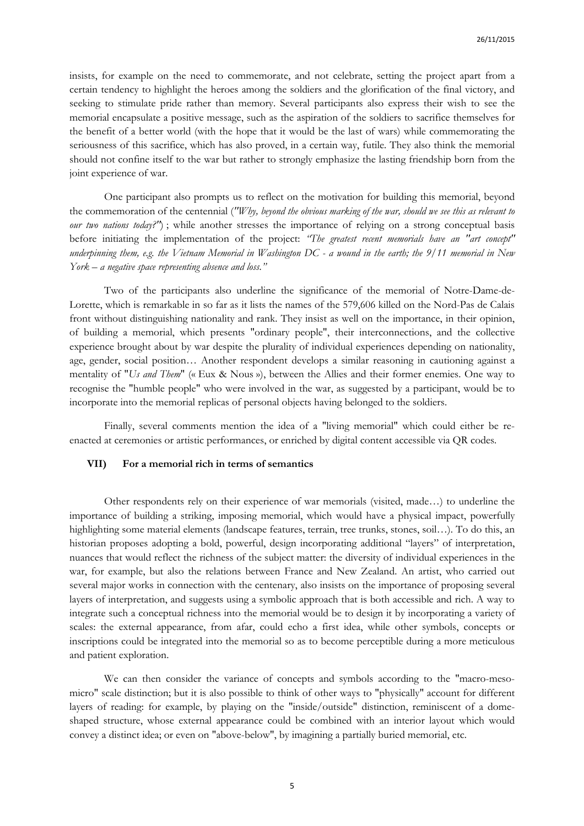insists, for example on the need to commemorate, and not celebrate, setting the project apart from a certain tendency to highlight the heroes among the soldiers and the glorification of the final victory, and seeking to stimulate pride rather than memory. Several participants also express their wish to see the memorial encapsulate a positive message, such as the aspiration of the soldiers to sacrifice themselves for the benefit of a better world (with the hope that it would be the last of wars) while commemorating the seriousness of this sacrifice, which has also proved, in a certain way, futile. They also think the memorial should not confine itself to the war but rather to strongly emphasize the lasting friendship born from the joint experience of war.

One participant also prompts us to reflect on the motivation for building this memorial, beyond the commemoration of the centennial (*"Why, beyond the obvious marking of the war, should we see this as relevant to our two nations today?"*); while another stresses the importance of relying on a strong conceptual basis before initiating the implementation of the project: *"The greatest recent memorials have an "art concept" underpinning them, e.g. the Vietnam Memorial in Washington DC - a wound in the earth; the 9/11 memorial in New York – a negative space representing absence and loss."* 

Two of the participants also underline the significance of the memorial of Notre-Dame-de-Lorette, which is remarkable in so far as it lists the names of the 579,606 killed on the Nord-Pas de Calais front without distinguishing nationality and rank. They insist as well on the importance, in their opinion, of building a memorial, which presents "ordinary people", their interconnections, and the collective experience brought about by war despite the plurality of individual experiences depending on nationality, age, gender, social position… Another respondent develops a similar reasoning in cautioning against a mentality of "*Us and Them*" (« Eux & Nous »), between the Allies and their former enemies. One way to recognise the "humble people" who were involved in the war, as suggested by a participant, would be to incorporate into the memorial replicas of personal objects having belonged to the soldiers.

Finally, several comments mention the idea of a "living memorial" which could either be reenacted at ceremonies or artistic performances, or enriched by digital content accessible via QR codes.

#### **VII) For a memorial rich in terms of semantics**

Other respondents rely on their experience of war memorials (visited, made…) to underline the importance of building a striking, imposing memorial, which would have a physical impact, powerfully highlighting some material elements (landscape features, terrain, tree trunks, stones, soil…). To do this, an historian proposes adopting a bold, powerful, design incorporating additional "layers" of interpretation, nuances that would reflect the richness of the subject matter: the diversity of individual experiences in the war, for example, but also the relations between France and New Zealand. An artist, who carried out several major works in connection with the centenary, also insists on the importance of proposing several layers of interpretation, and suggests using a symbolic approach that is both accessible and rich. A way to integrate such a conceptual richness into the memorial would be to design it by incorporating a variety of scales: the external appearance, from afar, could echo a first idea, while other symbols, concepts or inscriptions could be integrated into the memorial so as to become perceptible during a more meticulous and patient exploration.

We can then consider the variance of concepts and symbols according to the "macro-mesomicro" scale distinction; but it is also possible to think of other ways to "physically" account for different layers of reading: for example, by playing on the "inside/outside" distinction, reminiscent of a domeshaped structure, whose external appearance could be combined with an interior layout which would convey a distinct idea; or even on "above-below", by imagining a partially buried memorial, etc.

5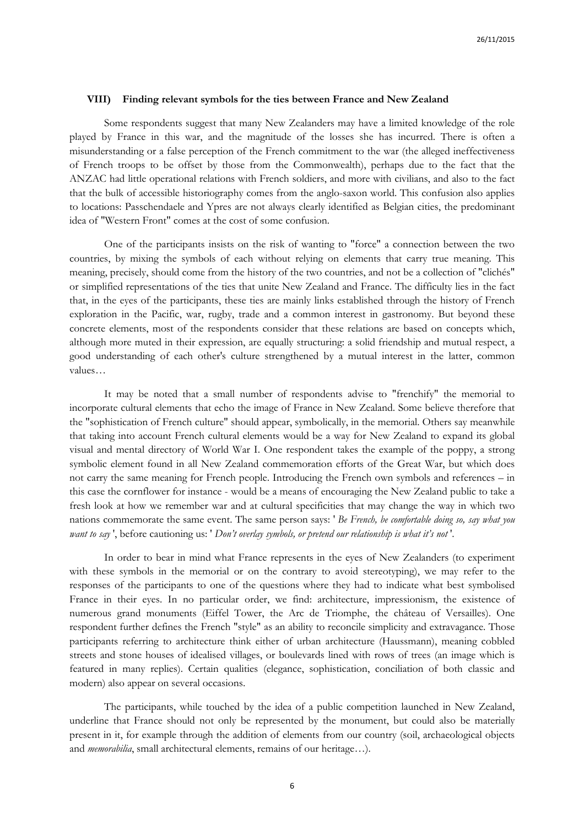### **VIII) Finding relevant symbols for the ties between France and New Zealand**

Some respondents suggest that many New Zealanders may have a limited knowledge of the role played by France in this war, and the magnitude of the losses she has incurred. There is often a misunderstanding or a false perception of the French commitment to the war (the alleged ineffectiveness of French troops to be offset by those from the Commonwealth), perhaps due to the fact that the ANZAC had little operational relations with French soldiers, and more with civilians, and also to the fact that the bulk of accessible historiography comes from the anglo-saxon world. This confusion also applies to locations: Passchendaele and Ypres are not always clearly identified as Belgian cities, the predominant idea of "Western Front" comes at the cost of some confusion.

One of the participants insists on the risk of wanting to "force" a connection between the two countries, by mixing the symbols of each without relying on elements that carry true meaning. This meaning, precisely, should come from the history of the two countries, and not be a collection of "clichés" or simplified representations of the ties that unite New Zealand and France. The difficulty lies in the fact that, in the eyes of the participants, these ties are mainly links established through the history of French exploration in the Pacific, war, rugby, trade and a common interest in gastronomy. But beyond these concrete elements, most of the respondents consider that these relations are based on concepts which, although more muted in their expression, are equally structuring: a solid friendship and mutual respect, a good understanding of each other's culture strengthened by a mutual interest in the latter, common values…

It may be noted that a small number of respondents advise to "frenchify" the memorial to incorporate cultural elements that echo the image of France in New Zealand. Some believe therefore that the "sophistication of French culture" should appear, symbolically, in the memorial. Others say meanwhile that taking into account French cultural elements would be a way for New Zealand to expand its global visual and mental directory of World War I. One respondent takes the example of the poppy, a strong symbolic element found in all New Zealand commemoration efforts of the Great War, but which does not carry the same meaning for French people. Introducing the French own symbols and references – in this case the cornflower for instance - would be a means of encouraging the New Zealand public to take a fresh look at how we remember war and at cultural specificities that may change the way in which two nations commemorate the same event. The same person says: ' *Be French, be comfortable doing so, say what you want to say* ', before cautioning us: ' *Don't overlay symbols, or pretend our relationship is what it's not* '.

In order to bear in mind what France represents in the eyes of New Zealanders (to experiment with these symbols in the memorial or on the contrary to avoid stereotyping), we may refer to the responses of the participants to one of the questions where they had to indicate what best symbolised France in their eyes. In no particular order, we find: architecture, impressionism, the existence of numerous grand monuments (Eiffel Tower, the Arc de Triomphe, the château of Versailles). One respondent further defines the French "style" as an ability to reconcile simplicity and extravagance. Those participants referring to architecture think either of urban architecture (Haussmann), meaning cobbled streets and stone houses of idealised villages, or boulevards lined with rows of trees (an image which is featured in many replies). Certain qualities (elegance, sophistication, conciliation of both classic and modern) also appear on several occasions.

The participants, while touched by the idea of a public competition launched in New Zealand, underline that France should not only be represented by the monument, but could also be materially present in it, for example through the addition of elements from our country (soil, archaeological objects and *memorabilia*, small architectural elements, remains of our heritage…).